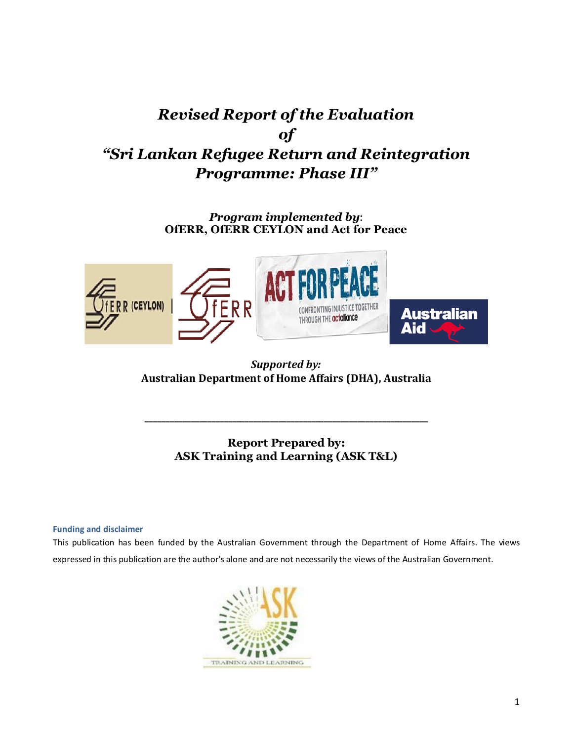# *Revised Report of the Evaluation of "Sri Lankan Refugee Return and Reintegration Programme: Phase III"*

*Program implemented by*: **OfERR, OfERR CEYLON and Act for Peace**



# *Supported by:*  **Australian Department of Home Affairs (DHA), Australia**

**Report Prepared by: ASK Training and Learning (ASK T&L)**

**\_\_\_\_\_\_\_\_\_\_\_\_\_\_\_\_\_\_\_\_\_\_\_\_\_\_\_\_\_\_\_\_\_\_\_\_\_\_\_\_\_\_\_\_\_\_\_\_\_\_\_\_\_\_\_\_\_\_\_\_\_\_\_\_\_\_\_\_**

#### **Funding and disclaimer**

This publication has been funded by the Australian Government through the Department of Home Affairs. The views expressed in this publication are the author's alone and are not necessarily the views of the Australian Government.

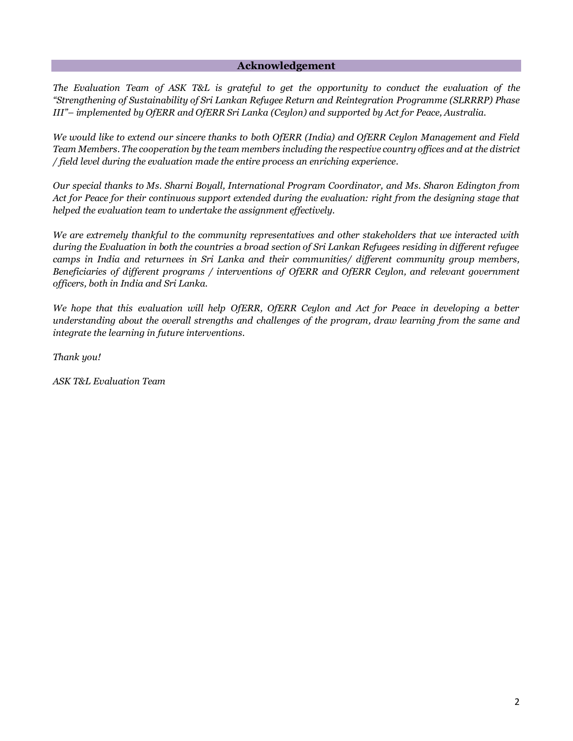#### **Acknowledgement**

*The Evaluation Team of ASK T&L is grateful to get the opportunity to conduct the evaluation of the "Strengthening of Sustainability of Sri Lankan Refugee Return and Reintegration Programme (SLRRRP) Phase III"– implemented by OfERR and OfERR Sri Lanka (Ceylon) and supported by Act for Peace, Australia.*

*We would like to extend our sincere thanks to both OfERR (India) and OfERR Ceylon Management and Field Team Members. The cooperation by the team members including the respective country offices and at the district / field level during the evaluation made the entire process an enriching experience.* 

*Our special thanks to Ms. Sharni Boyall, International Program Coordinator, and Ms. Sharon Edington from Act for Peace for their continuous support extended during the evaluation: right from the designing stage that helped the evaluation team to undertake the assignment effectively.* 

*We are extremely thankful to the community representatives and other stakeholders that we interacted with during the Evaluation in both the countries a broad section of Sri Lankan Refugees residing in different refugee camps in India and returnees in Sri Lanka and their communities/ different community group members, Beneficiaries of different programs / interventions of OfERR and OfERR Ceylon, and relevant government officers, both in India and Sri Lanka.* 

*We hope that this evaluation will help OfERR, OfERR Ceylon and Act for Peace in developing a better understanding about the overall strengths and challenges of the program, draw learning from the same and integrate the learning in future interventions.*

*Thank you!*

*ASK T&L Evaluation Team*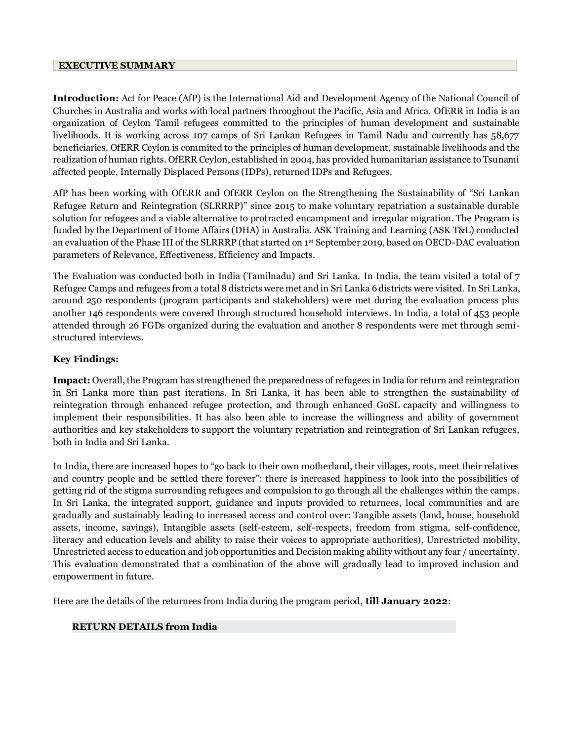#### **EXECUTIVE SUMMARY**

**Introduction:** Act for Peace (AfP) is the International Aid and Development Agency of the National Council of Churches in Australia and works with local partners throughout the Pacific, Asia and Africa. OfERR in India is an organization of Ceylon Tamil refugees committed to the principles of human development and sustainable livelihoods. It is working across 107 camps of Sri Lankan Refugees in Tamil Nadu and currently has 58,677 beneficiaries. OfERR Ceylon is commited to the principles of human development, sustainable livelihoods and the realization of human rights. OfERR Ceylon, established in 2004, has provided humanitarian assistance to Tsunami affected people, Internally Displaced Persons (IDPs), returned IDPs and Refugees.

AfP has been working with OfERR and OfERR Ceylon on the Strengthening the Sustainability of "Sri Lankan Refugee Return and Reintegration (SLRRRP)" since 2015 to make voluntary repatriation a sustainable durable solution for refugees and a viable alternative to protracted encampment and irregular migration. The Program is funded by the Department of Home Affairs (DHA) in Australia. ASK Training and Learning (ASK T&L) conducted an evaluation of the Phase III of the SLRRRP (that started on 1<sup>st</sup> September 2019, based on OECD-DAC evaluation parameters of Relevance, Effectiveness, Efficiency and Impacts.

The Evaluation was conducted both in India (Tamilnadu) and Sri Lanka. In India, the team visited a total of 7 Refugee Camps and refugees from a total 8 districts were met and in Sri Lanka 6 districts were visited. In Sri Lanka, around 250 respondents (program participants and stakeholders) were met during the evaluation process plus another 146 respondents were covered through structured household interviews. In India, a total of 453 people attended through 26 FGDs organized during the evaluation and another 8 respondents were met through semistructured interviews.

# **Key Findings:**

**Impact:** Overall, the Program has strengthened the preparedness of refugees in India for return and reintegration in Sri Lanka more than past iterations. In Sri Lanka, it has been able to strengthen the sustainability of reintegration through enhanced refugee protection, and through enhanced GoSL capacity and willingness to implement their responsibilities. It has also been able to increase the willingness and ability of government authorities and key stakeholders to support the voluntary repatriation and reintegration of Sri Lankan refugees, both in India and Sri Lanka.

In India, there are increased hopes to "go back to their own motherland, their villages, roots, meet their relatives and country people and be settled there forever": there is increased happiness to look into the possibilities of getting rid of the stigma surrounding refugees and compulsion to go through all the challenges within the camps. In Sri Lanka, the integrated support, guidance and inputs provided to returnees, local communities and are gradually and sustainably leading to increased access and control over: Tangible assets (land, house, household assets, income, savings), Intangible assets (self-esteem, self-respects, freedom from stigma, self-confidence, literacy and education levels and ability to raise their voices to appropriate authorities), Unrestricted mobility, Unrestricted access to education and job opportunities and Decision making ability without any fear / uncertainty. This evaluation demonstrated that a combination of the above will gradually lead to improved inclusion and empowerment in future.

Here are the details of the returnees from India during the program period, **till January 2022**:

#### **RETURN DETAILS from India**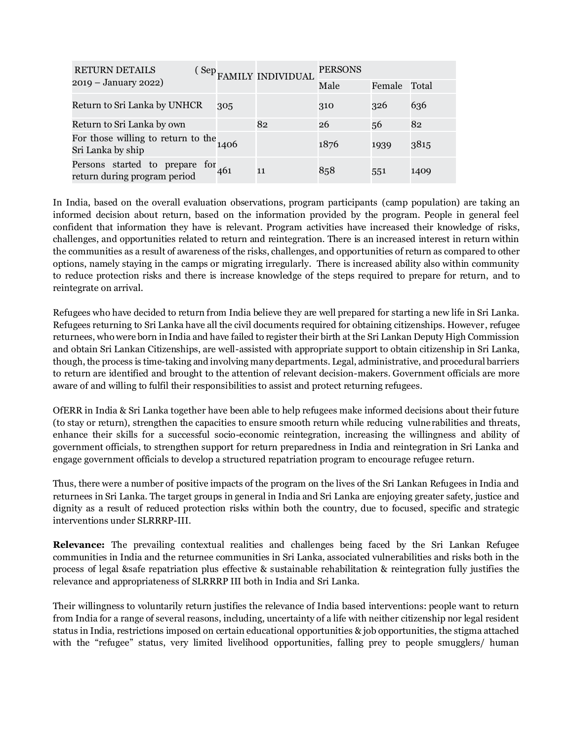| <b>RETURN DETAILS</b>                                                |  |     | (Sep FAMILY INDIVIDUAL | <b>PERSONS</b> |        |       |
|----------------------------------------------------------------------|--|-----|------------------------|----------------|--------|-------|
| 2019 – January 2022)                                                 |  |     |                        | Male           | Female | Total |
| Return to Sri Lanka by UNHCR                                         |  | 305 |                        | 310            | 326    | 636   |
| Return to Sri Lanka by own                                           |  |     | 82                     | 26             | 56     | 82    |
| For those willing to return to the $_{1406}$<br>Sri Lanka by ship    |  |     |                        | 1876           | 1939   | 3815  |
| Persons started to prepare for $461$<br>return during program period |  |     | 11                     | 858            | 551    | 1409  |

In India, based on the overall evaluation observations, program participants (camp population) are taking an informed decision about return, based on the information provided by the program. People in general feel confident that information they have is relevant. Program activities have increased their knowledge of risks, challenges, and opportunities related to return and reintegration. There is an increased interest in return within the communities as a result of awareness of the risks, challenges, and opportunities of return as compared to other options, namely staying in the camps or migrating irregularly. There is increased ability also within community to reduce protection risks and there is increase knowledge of the steps required to prepare for return, and to reintegrate on arrival.

Refugees who have decided to return from India believe they are well prepared for starting a new life in Sri Lanka. Refugees returning to Sri Lanka have all the civil documents required for obtaining citizenships. However, refugee returnees, who were born in India and have failed to register their birth at the Sri Lankan Deputy High Commission and obtain Sri Lankan Citizenships, are well-assisted with appropriate support to obtain citizenship in Sri Lanka, though, the process is time-taking and involving many departments. Legal, administrative, and procedural barriers to return are identified and brought to the attention of relevant decision-makers. Government officials are more aware of and willing to fulfil their responsibilities to assist and protect returning refugees.

OfERR in India & Sri Lanka together have been able to help refugees make informed decisions about their future (to stay or return), strengthen the capacities to ensure smooth return while reducing vulnerabilities and threats, enhance their skills for a successful socio-economic reintegration, increasing the willingness and ability of government officials, to strengthen support for return preparedness in India and reintegration in Sri Lanka and engage government officials to develop a structured repatriation program to encourage refugee return.

Thus, there were a number of positive impacts of the program on the lives of the Sri Lankan Refugees in India and returnees in Sri Lanka. The target groups in general in India and Sri Lanka are enjoying greater safety, justice and dignity as a result of reduced protection risks within both the country, due to focused, specific and strategic interventions under SLRRRP-III.

**Relevance:** The prevailing contextual realities and challenges being faced by the Sri Lankan Refugee communities in India and the returnee communities in Sri Lanka, associated vulnerabilities and risks both in the process of legal &safe repatriation plus effective & sustainable rehabilitation & reintegration fully justifies the relevance and appropriateness of SLRRRP III both in India and Sri Lanka.

Their willingness to voluntarily return justifies the relevance of India based interventions: people want to return from India for a range of several reasons, including, uncertainty of a life with neither citizenship nor legal resident status in India, restrictions imposed on certain educational opportunities & job opportunities, the stigma attached with the "refugee" status, very limited livelihood opportunities, falling prey to people smugglers/ human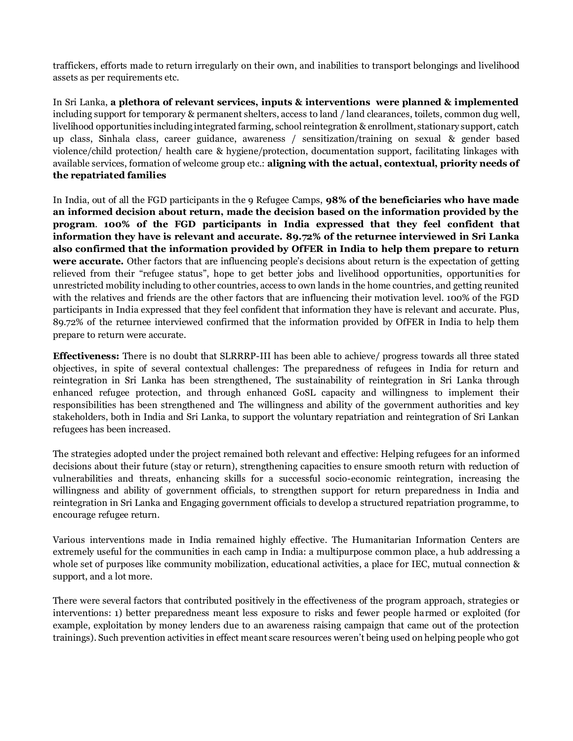traffickers, efforts made to return irregularly on their own, and inabilities to transport belongings and livelihood assets as per requirements etc.

In Sri Lanka, **a plethora of relevant services, inputs & interventions were planned & implemented**  including support for temporary & permanent shelters, access to land / land clearances, toilets, common dug well, livelihood opportunities including integrated farming, school reintegration & enrollment, stationary support, catch up class, Sinhala class, career guidance, awareness / sensitization/training on sexual & gender based violence/child protection/ health care & hygiene/protection, documentation support, facilitating linkages with available services, formation of welcome group etc.: **aligning with the actual, contextual, priority needs of the repatriated families**

In India, out of all the FGD participants in the 9 Refugee Camps, **98% of the beneficiaries who have made an informed decision about return, made the decision based on the information provided by the program**. **100% of the FGD participants in India expressed that they feel confident that information they have is relevant and accurate. 89.72% of the returnee interviewed in Sri Lanka also confirmed that the information provided by OfFER in India to help them prepare to return were accurate.** Other factors that are influencing people's decisions about return is the expectation of getting relieved from their "refugee status", hope to get better jobs and livelihood opportunities, opportunities for unrestricted mobility including to other countries, access to own lands in the home countries, and getting reunited with the relatives and friends are the other factors that are influencing their motivation level. 100% of the FGD participants in India expressed that they feel confident that information they have is relevant and accurate. Plus, 89.72% of the returnee interviewed confirmed that the information provided by OfFER in India to help them prepare to return were accurate.

**Effectiveness:** There is no doubt that SLRRRP-III has been able to achieve/ progress towards all three stated objectives, in spite of several contextual challenges: The preparedness of refugees in India for return and reintegration in Sri Lanka has been strengthened, The sustainability of reintegration in Sri Lanka through enhanced refugee protection, and through enhanced GoSL capacity and willingness to implement their responsibilities has been strengthened and The willingness and ability of the government authorities and key stakeholders, both in India and Sri Lanka, to support the voluntary repatriation and reintegration of Sri Lankan refugees has been increased.

The strategies adopted under the project remained both relevant and effective: Helping refugees for an informed decisions about their future (stay or return), strengthening capacities to ensure smooth return with reduction of vulnerabilities and threats, enhancing skills for a successful socio-economic reintegration, increasing the willingness and ability of government officials, to strengthen support for return preparedness in India and reintegration in Sri Lanka and Engaging government officials to develop a structured repatriation programme, to encourage refugee return.

Various interventions made in India remained highly effective. The Humanitarian Information Centers are extremely useful for the communities in each camp in India: a multipurpose common place, a hub addressing a whole set of purposes like community mobilization, educational activities, a place for IEC, mutual connection & support, and a lot more.

There were several factors that contributed positively in the effectiveness of the program approach, strategies or interventions: 1) better preparedness meant less exposure to risks and fewer people harmed or exploited (for example, exploitation by money lenders due to an awareness raising campaign that came out of the protection trainings). Such prevention activities in effect meant scare resources weren't being used on helping people who got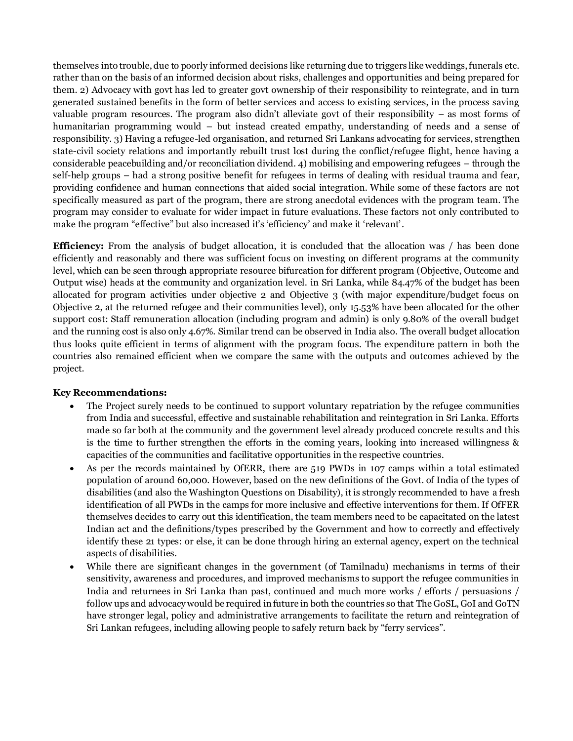themselves into trouble, due to poorly informed decisions like returning due to triggers like weddings, funerals etc. rather than on the basis of an informed decision about risks, challenges and opportunities and being prepared for them. 2) Advocacy with govt has led to greater govt ownership of their responsibility to reintegrate, and in turn generated sustained benefits in the form of better services and access to existing services, in the process saving valuable program resources. The program also didn't alleviate govt of their responsibility – as most forms of humanitarian programming would – but instead created empathy, understanding of needs and a sense of responsibility. 3) Having a refugee-led organisation, and returned Sri Lankans advocating for services, strengthen state-civil society relations and importantly rebuilt trust lost during the conflict/refugee flight, hence having a considerable peacebuilding and/or reconciliation dividend. 4) mobilising and empowering refugees – through the self-help groups – had a strong positive benefit for refugees in terms of dealing with residual trauma and fear, providing confidence and human connections that aided social integration. While some of these factors are not specifically measured as part of the program, there are strong anecdotal evidences with the program team. The program may consider to evaluate for wider impact in future evaluations. These factors not only contributed to make the program "effective" but also increased it's 'efficiency' and make it 'relevant'.

**Efficiency:** From the analysis of budget allocation, it is concluded that the allocation was / has been done efficiently and reasonably and there was sufficient focus on investing on different programs at the community level, which can be seen through appropriate resource bifurcation for different program (Objective, Outcome and Output wise) heads at the community and organization level. in Sri Lanka, while 84.47% of the budget has been allocated for program activities under objective 2 and Objective 3 (with major expenditure/budget focus on Objective 2, at the returned refugee and their communities level), only 15.53% have been allocated for the other support cost: Staff remuneration allocation (including program and admin) is only 9.80% of the overall budget and the running cost is also only 4.67%. Similar trend can be observed in India also. The overall budget allocation thus looks quite efficient in terms of alignment with the program focus. The expenditure pattern in both the countries also remained efficient when we compare the same with the outputs and outcomes achieved by the project.

#### **Key Recommendations:**

- The Project surely needs to be continued to support voluntary repatriation by the refugee communities from India and successful, effective and sustainable rehabilitation and reintegration in Sri Lanka. Efforts made so far both at the community and the government level already produced concrete results and this is the time to further strengthen the efforts in the coming years, looking into increased willingness & capacities of the communities and facilitative opportunities in the respective countries.
- As per the records maintained by OfERR, there are 519 PWDs in 107 camps within a total estimated population of around 60,000. However, based on the new definitions of the Govt. of India of the types of disabilities (and also the Washington Questions on Disability), it is strongly recommended to have a fresh identification of all PWDs in the camps for more inclusive and effective interventions for them. If OfFER themselves decides to carry out this identification, the team members need to be capacitated on the latest Indian act and the definitions/types prescribed by the Government and how to correctly and effectively identify these 21 types: or else, it can be done through hiring an external agency, expert on the technical aspects of disabilities.
- While there are significant changes in the government (of Tamilnadu) mechanisms in terms of their sensitivity, awareness and procedures, and improved mechanisms to support the refugee communities in India and returnees in Sri Lanka than past, continued and much more works / efforts / persuasions / follow ups and advocacy would be required in future in both the countries so that The GoSL, GoI and GoTN have stronger legal, policy and administrative arrangements to facilitate the return and reintegration of Sri Lankan refugees, including allowing people to safely return back by "ferry services".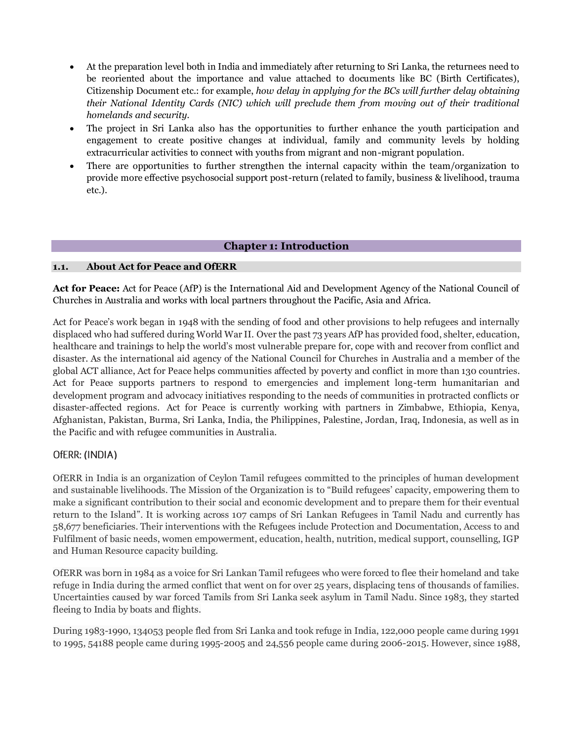- At the preparation level both in India and immediately after returning to Sri Lanka, the returnees need to be reoriented about the importance and value attached to documents like BC (Birth Certificates), Citizenship Document etc.: for example, *how delay in applying for the BCs will further delay obtaining their National Identity Cards (NIC) which will preclude them from moving out of their traditional homelands and security.*
- The project in Sri Lanka also has the opportunities to further enhance the youth participation and engagement to create positive changes at individual, family and community levels by holding extracurricular activities to connect with youths from migrant and non-migrant population.
- There are opportunities to further strengthen the internal capacity within the team/organization to provide more effective psychosocial support post-return (related to family, business & livelihood, trauma etc.).

# **Chapter 1: Introduction**

#### **1.1. About Act for Peace and OfERR**

**Act for Peace:** Act for Peace (AfP) is the International Aid and Development Agency of the National Council of Churches in Australia and works with local partners throughout the Pacific, Asia and Africa.

Act for Peace's work began in 1948 with the sending of food and other provisions to help refugees and internally displaced who had suffered during World War II. Over the past 73 years AfP has provided food, shelter, education, healthcare and trainings to help the world's most vulnerable prepare for, cope with and recover from conflict and disaster. As the international aid agency of the National Council for Churches in Australia and a member of the global ACT alliance, Act for Peace helps communities affected by poverty and conflict in more than 130 countries. Act for Peace supports partners to respond to emergencies and implement long-term humanitarian and development program and advocacy initiatives responding to the needs of communities in protracted conflicts or disaster-affected regions. Act for Peace is currently working with partners in Zimbabwe, Ethiopia, Kenya, Afghanistan, Pakistan, Burma, Sri Lanka, India, the Philippines, Palestine, Jordan, Iraq, Indonesia, as well as in the Pacific and with refugee communities in Australia.

# OfERR: (INDIA)

OfERR in India is an organization of Ceylon Tamil refugees committed to the principles of human development and sustainable livelihoods. The Mission of the Organization is to "Build refugees' capacity, empowering them to make a significant contribution to their social and economic development and to prepare them for their eventual return to the Island". It is working across 107 camps of Sri Lankan Refugees in Tamil Nadu and currently has 58,677 beneficiaries. Their interventions with the Refugees include Protection and Documentation, Access to and Fulfilment of basic needs, women empowerment, education, health, nutrition, medical support, counselling, IGP and Human Resource capacity building.

OfERR was born in 1984 as a voice for Sri Lankan Tamil refugees who were forced to flee their homeland and take refuge in India during the armed conflict that went on for over 25 years, displacing tens of thousands of families. Uncertainties caused by war forced Tamils from Sri Lanka seek asylum in Tamil Nadu. Since 1983, they started fleeing to India by boats and flights.

During 1983-1990, 134053 people fled from Sri Lanka and took refuge in India, 122,000 people came during 1991 to 1995, 54188 people came during 1995-2005 and 24,556 people came during 2006-2015. However, since 1988,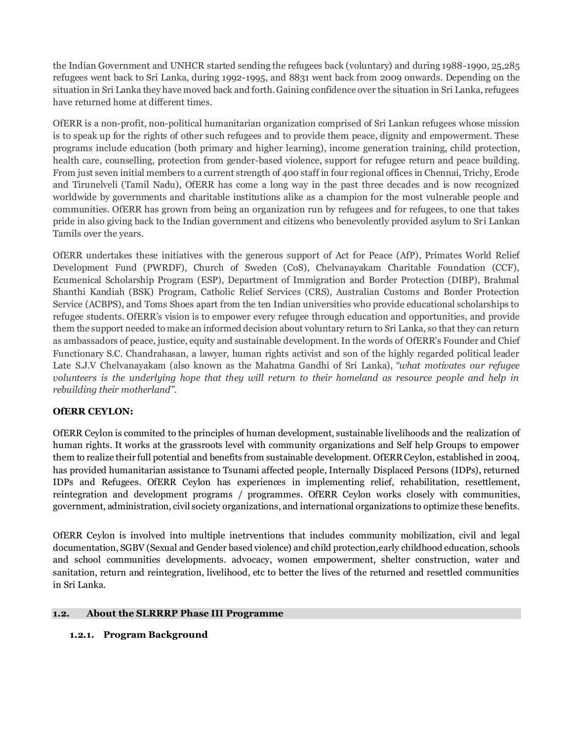the Indian Government and UNHCR started sending the refugees back (voluntary) and during 1988-1990, 25,285 refugees went back to Sri Lanka, during 1992-1995, and 8831 went back from 2009 onwards. Depending on the situation in Sri Lanka they have moved back and forth. Gaining confidence over the situation in Sri Lanka, refugees have returned home at different times.

OfERR is a non-profit, non-political humanitarian organization comprised of Sri Lankan refugees whose mission is to speak up for the rights of other such refugees and to provide them peace, dignity and empowerment. These programs include education (both primary and higher learning), income generation training, child protection, health care, counselling, protection from gender-based violence, support for refugee return and peace building. From just seven initial members to a current strength of 400 staff in four regional offices in Chennai, Trichy, Erode and Tirunelveli (Tamil Nadu), OfERR has come a long way in the past three decades and is now recognized worldwide by governments and charitable institutions alike as a champion for the most vulnerable people and communities. OfERR has grown from being an organization run by refugees and for refugees, to one that takes pride in also giving back to the Indian government and citizens who benevolently provided asylum to Sri Lankan Tamils over the years.

OfERR undertakes these initiatives with the generous support of Act for Peace (AfP), Primates World Relief Development Fund (PWRDF), Church of Sweden (CoS), Chelvanayakam Charitable Foundation (CCF), Ecumenical Scholarship Program (ESP), Department of Immigration and Border Protection (DIBP), Brahmal Shanthi Kandiah (BSK) Program, Catholic Relief Services (CRS), Australian Customs and Border Protection Service (ACBPS), and Toms Shoes apart from the ten Indian universities who provide educational scholarships to refugee students. OfERR's vision is to empower every refugee through education and opportunities, and provide them the support needed to make an informed decision about voluntary return to Sri Lanka, so that they can return as ambassadors of peace, justice, equity and sustainable development. In the words of OfERR's Founder and Chief Functionary S.C. Chandrahasan, a lawyer, human rights activist and son of the highly regarded political leader Late S.J.V Chelvanayakam (also known as the Mahatma Gandhi of Sri Lanka), *"what motivates our refugee volunteers is the underlying hope that they will return to their homeland as resource people and help in rebuilding their motherland".*

#### **OfERR CEYLON:**

OfERR Ceylon is commited to the principles of human development, sustainable livelihoods and the realization of human rights. It works at the grassroots level with community organizations and Self help Groups to empower them to realize their full potential and benefits from sustainable development. OfERR Ceylon, established in 2004, has provided humanitarian assistance to Tsunami affected people, Internally Displaced Persons (IDPs), returned IDPs and Refugees. OfERR Ceylon has experiences in implementing relief, rehabilitation, resettlement, reintegration and development programs / programmes. OfERR Ceylon works closely with communities, government, administration, civil society organizations, and international organizations to optimize these benefits.

OfERR Ceylon is involved into multiple inetrventions that includes community mobilization, civil and legal documentation, SGBV (Sexual and Gender based violence) and child protection,early childhood education, schools and school communities developments. advocacy, women empowerment, shelter construction, water and sanitation, return and reintegration, livelihood, etc to better the lives of the returned and resettled communities in Sri Lanka.

#### **1.2. About the SLRRRP Phase III Programme**

#### **1.2.1. Program Background**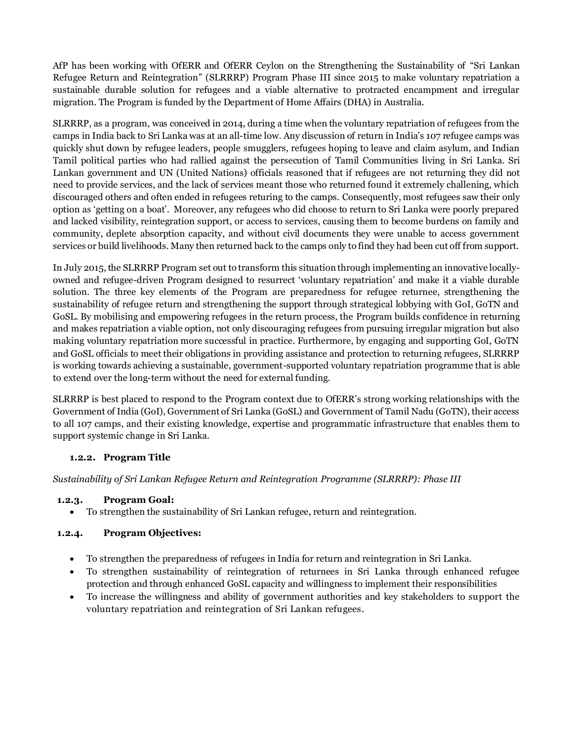AfP has been working with OfERR and OfERR Ceylon on the Strengthening the Sustainability of "Sri Lankan Refugee Return and Reintegration" (SLRRRP) Program Phase III since 2015 to make voluntary repatriation a sustainable durable solution for refugees and a viable alternative to protracted encampment and irregular migration. The Program is funded by the Department of Home Affairs (DHA) in Australia.

SLRRRP, as a program, was conceived in 2014, during a time when the voluntary repatriation of refugees from the camps in India back to Sri Lanka was at an all-time low. Any discussion of return in India's 107 refugee camps was quickly shut down by refugee leaders, people smugglers, refugees hoping to leave and claim asylum, and Indian Tamil political parties who had rallied against the persecution of Tamil Communities living in Sri Lanka. Sri Lankan government and UN (United Nations) officials reasoned that if refugees are not returning they did not need to provide services, and the lack of services meant those who returned found it extremely challening, which discouraged others and often ended in refugees returing to the camps. Consequently, most refugees saw their only option as 'getting on a boat'. Moreover, any refugees who did choose to return to Sri Lanka were poorly prepared and lacked visibility, reintegration support, or access to services, causing them to become burdens on family and community, deplete absorption capacity, and without civil documents they were unable to access government services or build livelihoods. Many then returned back to the camps only to find they had been cut off from support.

In July 2015, the SLRRRP Program set out to transform this situation through implementing an innovative locallyowned and refugee-driven Program designed to resurrect 'voluntary repatriation' and make it a viable durable solution. The three key elements of the Program are preparedness for refugee returnee, strengthening the sustainability of refugee return and strengthening the support through strategical lobbying with GoI, GoTN and GoSL. By mobilising and empowering refugees in the return process, the Program builds confidence in returning and makes repatriation a viable option, not only discouraging refugees from pursuing irregular migration but also making voluntary repatriation more successful in practice. Furthermore, by engaging and supporting GoI, GoTN and GoSL officials to meet their obligations in providing assistance and protection to returning refugees, SLRRRP is working towards achieving a sustainable, government-supported voluntary repatriation programme that is able to extend over the long-term without the need for external funding.

SLRRRP is best placed to respond to the Program context due to OfERR's strong working relationships with the Government of India (GoI), Government of Sri Lanka (GoSL) and Government of Tamil Nadu (GoTN), their access to all 107 camps, and their existing knowledge, expertise and programmatic infrastructure that enables them to support systemic change in Sri Lanka.

# **1.2.2. Program Title**

*Sustainability of Sri Lankan Refugee Return and Reintegration Programme (SLRRRP): Phase III*

# **1.2.3. Program Goal:**

• To strengthen the sustainability of Sri Lankan refugee, return and reintegration.

# **1.2.4. Program Objectives:**

- To strengthen the preparedness of refugees in India for return and reintegration in Sri Lanka.
- To strengthen sustainability of reintegration of returnees in Sri Lanka through enhanced refugee protection and through enhanced GoSL capacity and willingness to implement their responsibilities
- To increase the willingness and ability of government authorities and key stakeholders to support the voluntary repatriation and reintegration of Sri Lankan refugees.